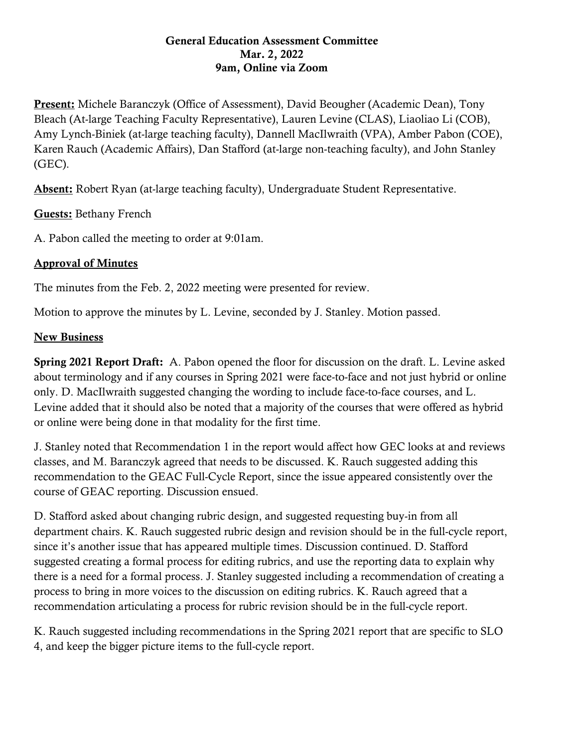## General Education Assessment Committee Mar. 2, 2022 9am, Online via Zoom

Present: Michele Baranczyk (Office of Assessment), David Beougher (Academic Dean), Tony Bleach (At-large Teaching Faculty Representative), Lauren Levine (CLAS), Liaoliao Li (COB), Amy Lynch-Biniek (at-large teaching faculty), Dannell MacIlwraith (VPA), Amber Pabon (COE), Karen Rauch (Academic Affairs), Dan Stafford (at-large non-teaching faculty), and John Stanley (GEC).

Absent: Robert Ryan (at-large teaching faculty), Undergraduate Student Representative.

Guests: Bethany French

A. Pabon called the meeting to order at 9:01am.

## Approval of Minutes

The minutes from the Feb. 2, 2022 meeting were presented for review.

Motion to approve the minutes by L. Levine, seconded by J. Stanley. Motion passed.

## New Business

Spring 2021 Report Draft: A. Pabon opened the floor for discussion on the draft. L. Levine asked about terminology and if any courses in Spring 2021 were face-to-face and not just hybrid or online only. D. MacIlwraith suggested changing the wording to include face-to-face courses, and L. Levine added that it should also be noted that a majority of the courses that were offered as hybrid or online were being done in that modality for the first time.

J. Stanley noted that Recommendation 1 in the report would affect how GEC looks at and reviews classes, and M. Baranczyk agreed that needs to be discussed. K. Rauch suggested adding this recommendation to the GEAC Full-Cycle Report, since the issue appeared consistently over the course of GEAC reporting. Discussion ensued.

D. Stafford asked about changing rubric design, and suggested requesting buy-in from all department chairs. K. Rauch suggested rubric design and revision should be in the full-cycle report, since it's another issue that has appeared multiple times. Discussion continued. D. Stafford suggested creating a formal process for editing rubrics, and use the reporting data to explain why there is a need for a formal process. J. Stanley suggested including a recommendation of creating a process to bring in more voices to the discussion on editing rubrics. K. Rauch agreed that a recommendation articulating a process for rubric revision should be in the full-cycle report.

K. Rauch suggested including recommendations in the Spring 2021 report that are specific to SLO 4, and keep the bigger picture items to the full-cycle report.